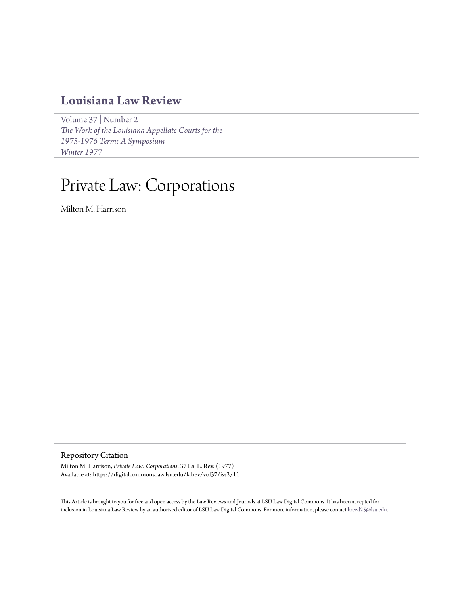## **[Louisiana Law Review](https://digitalcommons.law.lsu.edu/lalrev)**

[Volume 37](https://digitalcommons.law.lsu.edu/lalrev/vol37) | [Number 2](https://digitalcommons.law.lsu.edu/lalrev/vol37/iss2) *[The Work of the Louisiana Appellate Courts for the](https://digitalcommons.law.lsu.edu/lalrev/vol37/iss2) [1975-1976 Term: A Symposium](https://digitalcommons.law.lsu.edu/lalrev/vol37/iss2) [Winter 1977](https://digitalcommons.law.lsu.edu/lalrev/vol37/iss2)*

## Private Law: Corporations

Milton M. Harrison

Repository Citation

Milton M. Harrison, *Private Law: Corporations*, 37 La. L. Rev. (1977) Available at: https://digitalcommons.law.lsu.edu/lalrev/vol37/iss2/11

This Article is brought to you for free and open access by the Law Reviews and Journals at LSU Law Digital Commons. It has been accepted for inclusion in Louisiana Law Review by an authorized editor of LSU Law Digital Commons. For more information, please contact [kreed25@lsu.edu](mailto:kreed25@lsu.edu).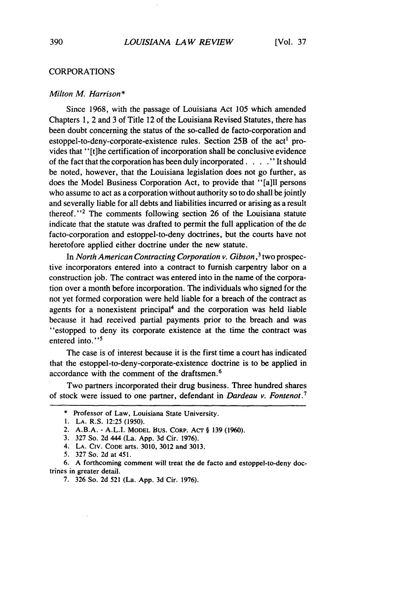## CORPORATIONS

## *Milton M Harrison\**

Since 1968, with the passage of Louisiana Act 105 which amended Chapters 1, 2 and 3 of Title 12 of the Louisiana Revised Statutes, there has been doubt concerning the status of the so-called de facto-corporation and estoppel-to-deny-corporate-existence rules. Section  $25B$  of the act<sup>1</sup> provides that "[t]he certification of incorporation shall be conclusive evidence of the fact that the corporation has been duly incorporated. .**..** " It should be noted, however, that the Louisiana legislation does not go further, as does the Model Business Corporation Act, to provide that "[a]ll persons who assume to act as a corporation without authority so to do shall be jointly and severally liable for all debts and liabilities incurred or arising as a result thereof."<sup>2</sup> The comments following section 26 of the Louisiana statute indicate that the statute was drafted to permit the full application of the de facto-corporation and estoppel-to-deny doctrines, but the courts have not heretofore applied either doctrine under the new statute.

In *North American Contracting Corporation v. Gibson,3* two prospective incorporators entered into a contract to furnish carpentry labor on a construction job. The contract was entered into in the name of the corporation over a month before incorporation. The individuals who signed for the not yet formed corporation were held liable for a breach of the contract as agents for a nonexistent principal<sup>4</sup> and the corporation was held liable because it had received partial payments prior to the breach and was "estopped to deny its corporate existence at the time the contract was entered into."<sup>5</sup>

The case is of interest because it is the first time a court has indicated that the estoppel-to-deny-corporate-existence doctrine is to be applied in accordance with the comment of the draftsmen. <sup>6</sup>

Two partners incorporated their drug business. Three hundred shares of stock were issued to one partner, defendant in *Dardeau v. Fontenot.'*

<sup>\*</sup> Professor of Law, Louisiana State University.

**<sup>1.</sup> LA.** R.S. 12:25 (1950).

<sup>2.</sup> A.B.A. **-** A.L.I. MODEL BUS. CORP. AcT § 139 (1960).

<sup>3. 327</sup> So. 2d 444 (La. **App.** 3d Cir. 1976).

<sup>4.</sup> LA. CIV. **CODE** arts. 3010, 3012 and 3013.

*<sup>5.</sup>* 327 So. 2d at 451.

<sup>6.</sup> A forthcoming comment will treat the de facto and estoppel-to-deny doctrines in greater detail.

<sup>7. 326</sup> So. 2d 521 (La. App. 3d Cir. 1976).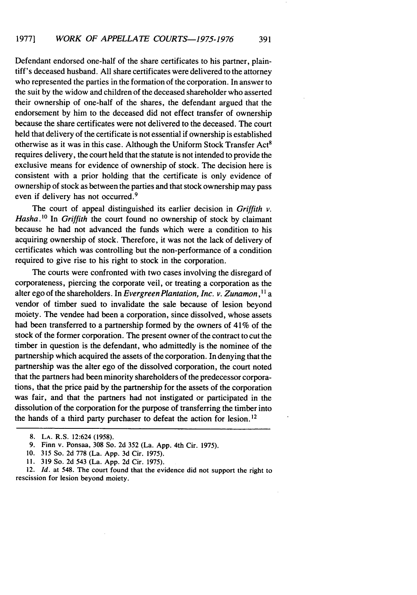Defendant endorsed one-half of the share certificates to his partner, plaintiff's deceased husband. All share certificates were delivered to the attorney who represented the parties in the formation of the corporation. In answer to the suit by the widow and children of the deceased shareholder who asserted their ownership of one-half of the shares, the defendant argued that the endorsement by him to the deceased did not effect transfer of ownership because the share certificates were not delivered to the deceased. The court held that delivery of the certificate is not essential if ownership is established otherwise as it was in this case. Although the Uniform Stock Transfer Act8 requires delivery, the court held that the statute is not intended to provide the exclusive means for evidence of ownership of stock. The decision here is consistent with a prior holding that the certificate is only evidence of ownership of stock as between the parties and that stock ownership may pass even if delivery has not occurred.<sup>9</sup>

The court of appeal distinguished its earlier decision in *Griffith v.* Hasha.<sup>10</sup> In *Griffith* the court found no ownership of stock by claimant because he had not advanced the funds which were a condition to his acquiring ownership of stock. Therefore, it was not the lack of delivery of certificates which was controlling but the non-performance of a condition required to give rise to his right to stock in the corporation.

The courts were confronted with two cases involving the disregard of corporateness, piercing the corporate veil, or treating a corporation as the alter ego of the shareholders. In *Evergreen Plantation, Inc. v. Zunamon*,<sup>11</sup> a vendor of timber sued to invalidate the sale because of lesion beyond moiety. The vendee had been a corporation, since dissolved, whose assets had been transferred to a partnership formed by the owners of 41% of the stock of the former corporation. The present owner of the contract to cut the timber in question is the defendant, who admittedly is the nominee of the partnership which acquired the assets of the corporation. In denying that the partnership was the alter ego of the dissolved corporation, the court noted that the partners had been minority shareholders of the predecessor corporations, that the price paid by the partnership for the assets of the corporation was fair, and that the partners had not instigated or participated in the dissolution of the corporation for the purpose of transferring the timber into the hands of a third party purchaser to defeat the action for lesion. 12

10. 315 So. 2d 778 (La. App. 3d Cir. 1975).

11. 319 So. 2d 543 (La. App. 2d Cir. 1975).

12. *Id.* at 548. The court found that the evidence did not support the right to rescission for lesion beyond moiety.

<sup>8.</sup> **LA.** R.S. 12:624 (1958).

<sup>9.</sup> Finn v. Ponsaa, 308 So. 2d 352 (La. App. 4th Cir. 1975).